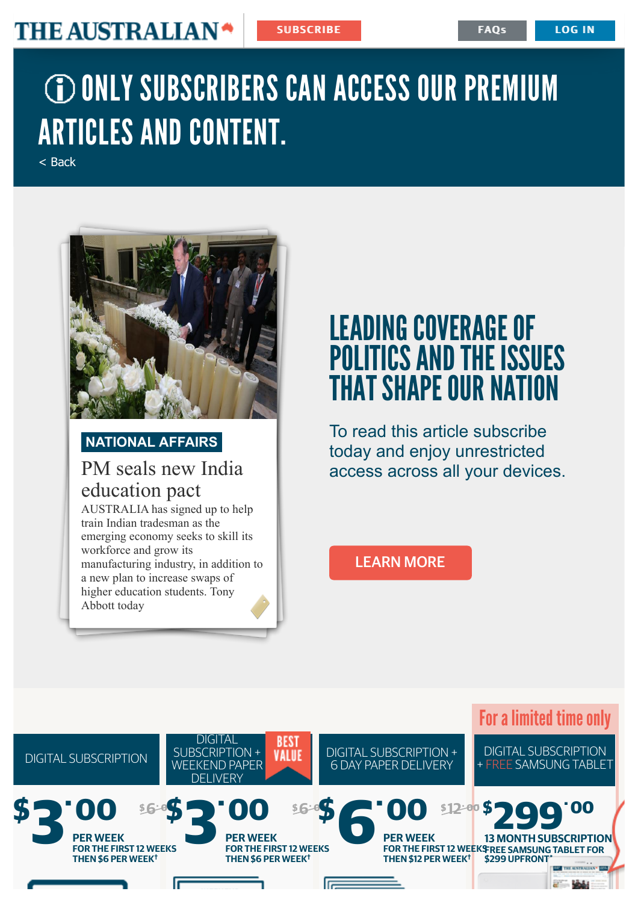### **THE AUSTRALIAN**

SUBSCRIBE **FAQS** FAQS LOG IN

## ONLY SUBSCRIBERS CAN ACCESS OUR PREMIUM ARTICLES AND CONTENT.

[< Back](http://www.theaustralian.com.au/)



#### **NATIONAL AFFAIRS**

### PM seals new India education pact

AUSTRALIA has signed up to help train Indian tradesman as the emerging economy seeks to skill its workforce and grow its manufacturing industry, in addition to a new plan to increase swaps of higher education students. Tony Abbott today

## LEADING COVERAGE OF POLITICS AND THE ISSUES THAT SHAPE OUR NATION

To read this article subscribe today and enjoy unrestricted access across all your devices.

LEARN MORE

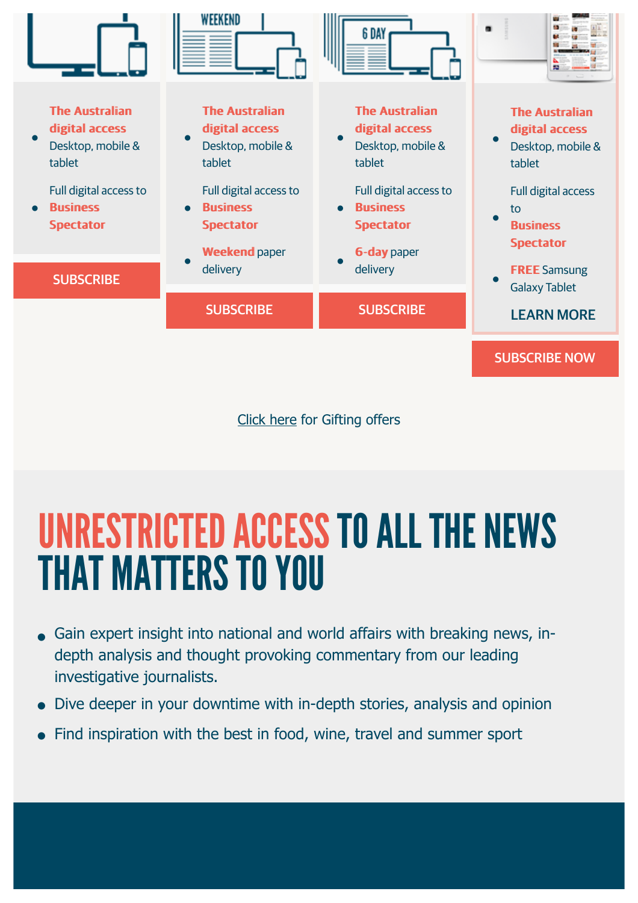

[Click here](http://myaccount.news.com.au/theaustralian/templateCampaign?campaignId=TA_GIFT_PURCHASE&int_medium=display&int_source=site-link&int_campaign=acq_onsite_landing_page&int_content=ongoing_gifting&sourceCode=TAWEB_ONS617) for Gifting offers

## UNRESTRICTED ACCESS TO ALL THE NEWS THAT MATTERS TO YOU

- Gain expert insight into national and world affairs with breaking news, indepth analysis and thought provoking commentary from our leading investigative journalists.
- Dive deeper in your downtime with in-depth stories, analysis and opinion
- Find inspiration with the best in food, wine, travel and summer sport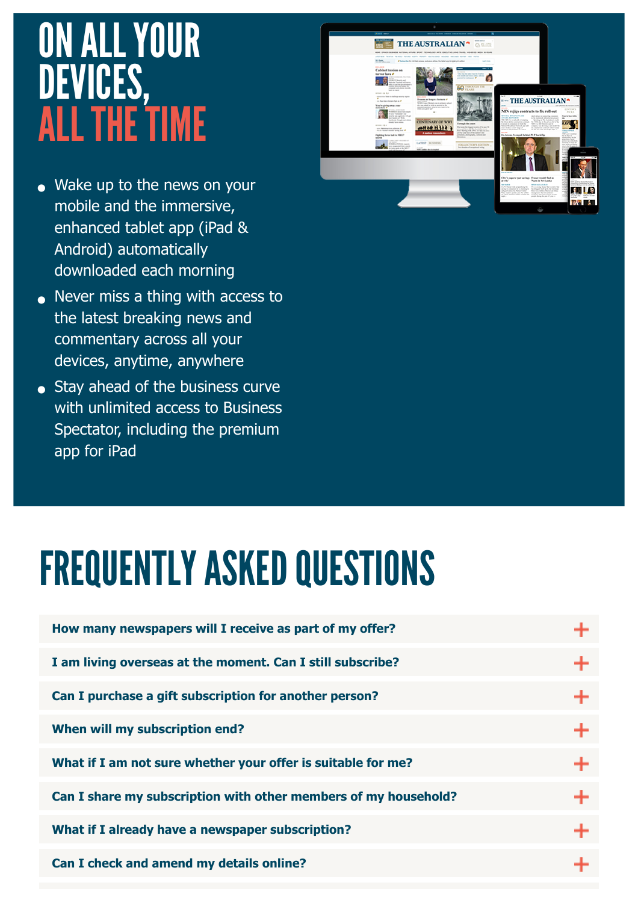## ON ALL YOUR DEVICES, ALL THE TIME

- Wake up to the news on your mobile and the immersive, enhanced tablet app (iPad & Android) automatically downloaded each morning
- Never miss a thing with access to the latest breaking news and commentary across all your devices, anytime, anywhere
- Stay ahead of the business curve with unlimited access to Business Spectator, including the premium app for iPad



# FREQUENTLY ASKED QUESTIONS

| How many newspapers will I receive as part of my offer?         |  |
|-----------------------------------------------------------------|--|
| I am living overseas at the moment. Can I still subscribe?      |  |
| Can I purchase a gift subscription for another person?          |  |
| When will my subscription end?                                  |  |
| What if I am not sure whether your offer is suitable for me?    |  |
| Can I share my subscription with other members of my household? |  |
| What if I already have a newspaper subscription?                |  |
| Can I check and amend my details online?                        |  |